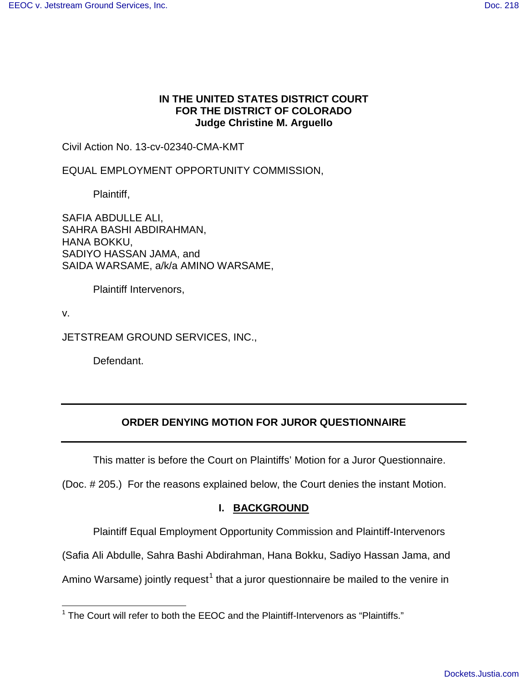# **IN THE UNITED STATES DISTRICT COURT FOR THE DISTRICT OF COLORADO Judge Christine M. Arguello**

Civil Action No. 13-cv-02340-CMA-KMT

EQUAL EMPLOYMENT OPPORTUNITY COMMISSION,

Plaintiff,

SAFIA ABDULLE ALI, SAHRA BASHI ABDIRAHMAN, HANA BOKKU, SADIYO HASSAN JAMA, and SAIDA WARSAME, a/k/a AMINO WARSAME,

Plaintiff Intervenors,

v.

JETSTREAM GROUND SERVICES, INC.,

Defendant.

# **ORDER DENYING MOTION FOR JUROR QUESTIONNAIRE**

This matter is before the Court on Plaintiffs' Motion for a Juror Questionnaire.

(Doc. # 205.) For the reasons explained below, the Court denies the instant Motion.

# **I. BACKGROUND**

Plaintiff Equal Employment Opportunity Commission and Plaintiff-Intervenors

(Safia Ali Abdulle, Sahra Bashi Abdirahman, Hana Bokku, Sadiyo Hassan Jama, and

Amino Warsame) jointly request<sup>[1](#page-0-0)</sup> that a juror questionnaire be mailed to the venire in

<span id="page-0-0"></span> $1$  The Court will refer to both the EEOC and the Plaintiff-Intervenors as "Plaintiffs." -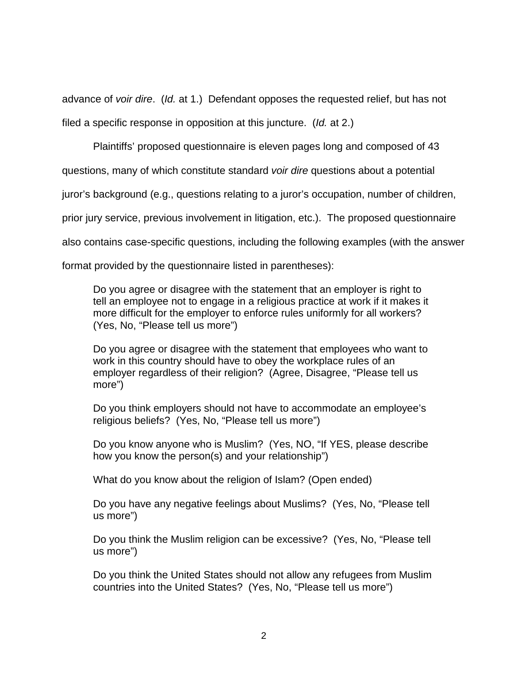advance of voir dire. (Id. at 1.) Defendant opposes the requested relief, but has not filed a specific response in opposition at this juncture. (Id. at 2.)

Plaintiffs' proposed questionnaire is eleven pages long and composed of 43

questions, many of which constitute standard voir dire questions about a potential

juror's background (e.g., questions relating to a juror's occupation, number of children,

prior jury service, previous involvement in litigation, etc.). The proposed questionnaire

also contains case-specific questions, including the following examples (with the answer

format provided by the questionnaire listed in parentheses):

Do you agree or disagree with the statement that an employer is right to tell an employee not to engage in a religious practice at work if it makes it more difficult for the employer to enforce rules uniformly for all workers? (Yes, No, "Please tell us more")

Do you agree or disagree with the statement that employees who want to work in this country should have to obey the workplace rules of an employer regardless of their religion? (Agree, Disagree, "Please tell us more")

Do you think employers should not have to accommodate an employee's religious beliefs? (Yes, No, "Please tell us more")

Do you know anyone who is Muslim? (Yes, NO, "If YES, please describe how you know the person(s) and your relationship")

What do you know about the religion of Islam? (Open ended)

Do you have any negative feelings about Muslims? (Yes, No, "Please tell us more")

Do you think the Muslim religion can be excessive? (Yes, No, "Please tell us more")

Do you think the United States should not allow any refugees from Muslim countries into the United States? (Yes, No, "Please tell us more")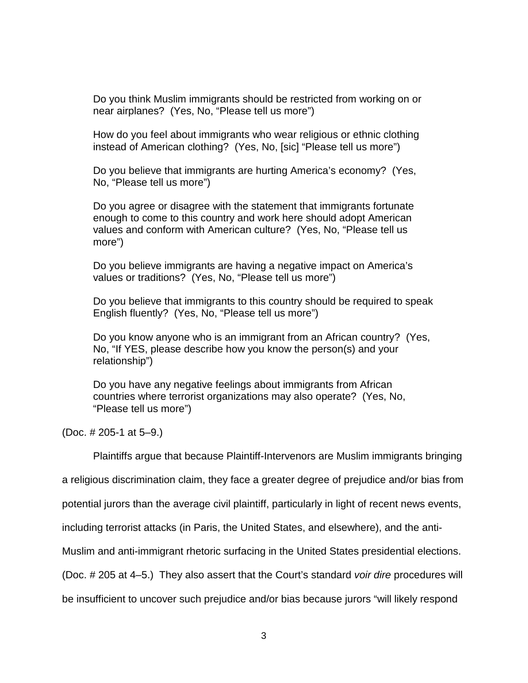Do you think Muslim immigrants should be restricted from working on or near airplanes? (Yes, No, "Please tell us more")

How do you feel about immigrants who wear religious or ethnic clothing instead of American clothing? (Yes, No, [sic] "Please tell us more")

Do you believe that immigrants are hurting America's economy? (Yes, No, "Please tell us more")

Do you agree or disagree with the statement that immigrants fortunate enough to come to this country and work here should adopt American values and conform with American culture? (Yes, No, "Please tell us more")

Do you believe immigrants are having a negative impact on America's values or traditions? (Yes, No, "Please tell us more")

Do you believe that immigrants to this country should be required to speak English fluently? (Yes, No, "Please tell us more")

Do you know anyone who is an immigrant from an African country? (Yes, No, "If YES, please describe how you know the person(s) and your relationship")

Do you have any negative feelings about immigrants from African countries where terrorist organizations may also operate? (Yes, No, "Please tell us more")

(Doc. # 205-1 at 5–9.)

Plaintiffs argue that because Plaintiff-Intervenors are Muslim immigrants bringing

a religious discrimination claim, they face a greater degree of prejudice and/or bias from

potential jurors than the average civil plaintiff, particularly in light of recent news events,

including terrorist attacks (in Paris, the United States, and elsewhere), and the anti-

Muslim and anti-immigrant rhetoric surfacing in the United States presidential elections.

(Doc. # 205 at 4–5.) They also assert that the Court's standard voir dire procedures will

be insufficient to uncover such prejudice and/or bias because jurors "will likely respond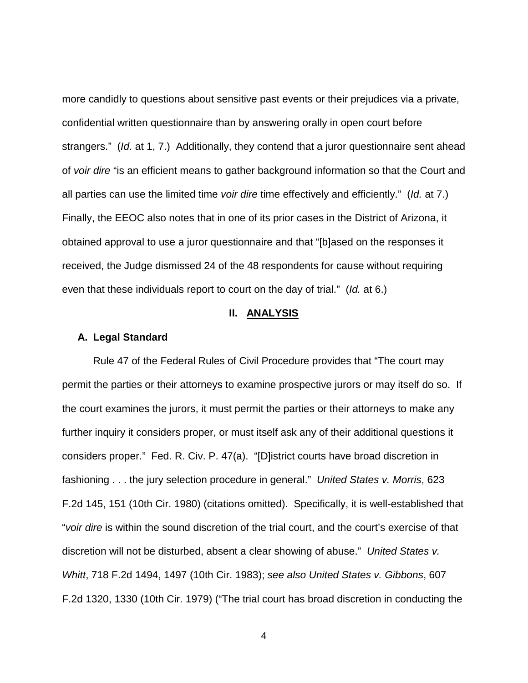more candidly to questions about sensitive past events or their prejudices via a private, confidential written questionnaire than by answering orally in open court before strangers." (Id. at 1, 7.) Additionally, they contend that a juror questionnaire sent ahead of voir dire "is an efficient means to gather background information so that the Court and all parties can use the limited time voir dire time effectively and efficiently." (Id. at 7.) Finally, the EEOC also notes that in one of its prior cases in the District of Arizona, it obtained approval to use a juror questionnaire and that "[b]ased on the responses it received, the Judge dismissed 24 of the 48 respondents for cause without requiring even that these individuals report to court on the day of trial." (Id. at 6.)

## **II. ANALYSIS**

#### **A. Legal Standard**

Rule 47 of the Federal Rules of Civil Procedure provides that "The court may permit the parties or their attorneys to examine prospective jurors or may itself do so. If the court examines the jurors, it must permit the parties or their attorneys to make any further inquiry it considers proper, or must itself ask any of their additional questions it considers proper." Fed. R. Civ. P. 47(a). "[D]istrict courts have broad discretion in fashioning . . . the jury selection procedure in general." United States v. Morris, 623 F.2d 145, 151 (10th Cir. 1980) (citations omitted). Specifically, it is well-established that "voir dire is within the sound discretion of the trial court, and the court's exercise of that discretion will not be disturbed, absent a clear showing of abuse." United States v. Whitt, 718 F.2d 1494, 1497 (10th Cir. 1983); see also United States v. Gibbons, 607 F.2d 1320, 1330 (10th Cir. 1979) ("The trial court has broad discretion in conducting the

4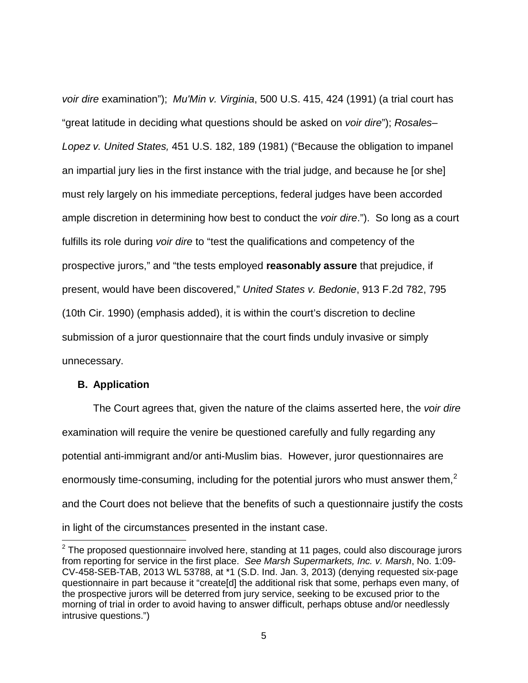voir dire examination"); Mu'Min v. Virginia, 500 U.S. 415, 424 (1991) (a trial court has "great latitude in deciding what questions should be asked on voir dire"); Rosales– Lopez v. United States, 451 U.S. 182, 189 (1981) ("Because the obligation to impanel an impartial jury lies in the first instance with the trial judge, and because he [or she] must rely largely on his immediate perceptions, federal judges have been accorded ample discretion in determining how best to conduct the voir dire."). So long as a court fulfills its role during voir dire to "test the qualifications and competency of the prospective jurors," and "the tests employed **reasonably assure** that prejudice, if present, would have been discovered," United States v. Bedonie, 913 F.2d 782, 795 (10th Cir. 1990) (emphasis added), it is within the court's discretion to decline submission of a juror questionnaire that the court finds unduly invasive or simply unnecessary.

### **B. Application**

-

The Court agrees that, given the nature of the claims asserted here, the *voir dire* examination will require the venire be questioned carefully and fully regarding any potential anti-immigrant and/or anti-Muslim bias. However, juror questionnaires are enormously time-consuming, including for the potential jurors who must answer them,<sup>[2](#page-4-0)</sup> and the Court does not believe that the benefits of such a questionnaire justify the costs in light of the circumstances presented in the instant case.

<span id="page-4-0"></span> $2$  The proposed questionnaire involved here, standing at 11 pages, could also discourage jurors from reporting for service in the first place. See Marsh Supermarkets, Inc. v. Marsh, No. 1:09- CV-458-SEB-TAB, 2013 WL 53788, at \*1 (S.D. Ind. Jan. 3, 2013) (denying requested six-page questionnaire in part because it "create[d] the additional risk that some, perhaps even many, of the prospective jurors will be deterred from jury service, seeking to be excused prior to the morning of trial in order to avoid having to answer difficult, perhaps obtuse and/or needlessly intrusive questions.")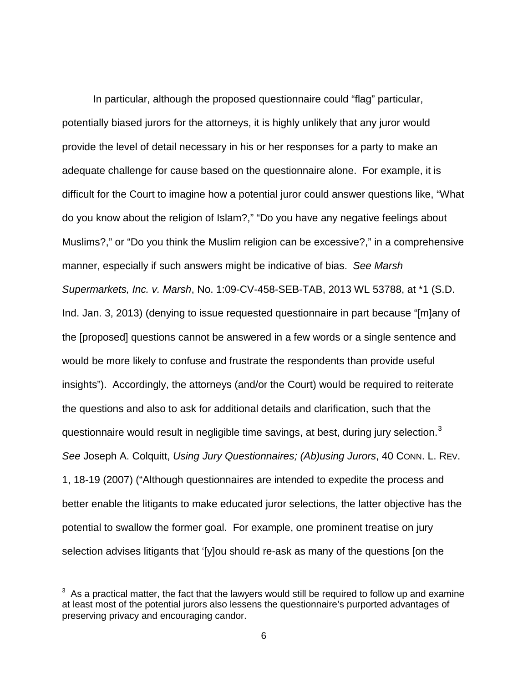In particular, although the proposed questionnaire could "flag" particular, potentially biased jurors for the attorneys, it is highly unlikely that any juror would provide the level of detail necessary in his or her responses for a party to make an adequate challenge for cause based on the questionnaire alone. For example, it is difficult for the Court to imagine how a potential juror could answer questions like, "What do you know about the religion of Islam?," "Do you have any negative feelings about Muslims?," or "Do you think the Muslim religion can be excessive?," in a comprehensive manner, especially if such answers might be indicative of bias. See Marsh Supermarkets, Inc. v. Marsh, No. 1:09-CV-458-SEB-TAB, 2013 WL 53788, at \*1 (S.D. Ind. Jan. 3, 2013) (denying to issue requested questionnaire in part because "[m]any of the [proposed] questions cannot be answered in a few words or a single sentence and would be more likely to confuse and frustrate the respondents than provide useful insights"). Accordingly, the attorneys (and/or the Court) would be required to reiterate the questions and also to ask for additional details and clarification, such that the questionnaire would result in negligible time savings, at best, during jury selection.<sup>[3](#page-5-0)</sup> See Joseph A. Colquitt, Using Jury Questionnaires; (Ab)using Jurors, 40 CONN. L. REV. 1, 18-19 (2007) ("Although questionnaires are intended to expedite the process and better enable the litigants to make educated juror selections, the latter objective has the potential to swallow the former goal. For example, one prominent treatise on jury selection advises litigants that '[y]ou should re-ask as many of the questions [on the

-

<span id="page-5-0"></span><sup>3</sup> As a practical matter, the fact that the lawyers would still be required to follow up and examine at least most of the potential jurors also lessens the questionnaire's purported advantages of preserving privacy and encouraging candor.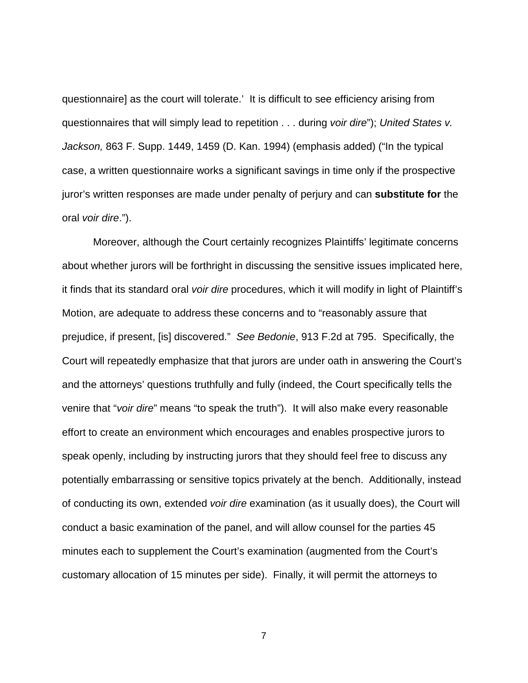questionnaire] as the court will tolerate.' It is difficult to see efficiency arising from questionnaires that will simply lead to repetition . . . during voir dire"); United States v. Jackson, 863 F. Supp. 1449, 1459 (D. Kan. 1994) (emphasis added) ("In the typical case, a written questionnaire works a significant savings in time only if the prospective juror's written responses are made under penalty of perjury and can **substitute for** the oral voir dire.").

Moreover, although the Court certainly recognizes Plaintiffs' legitimate concerns about whether jurors will be forthright in discussing the sensitive issues implicated here, it finds that its standard oral voir dire procedures, which it will modify in light of Plaintiff's Motion, are adequate to address these concerns and to "reasonably assure that prejudice, if present, [is] discovered." See Bedonie, 913 F.2d at 795. Specifically, the Court will repeatedly emphasize that that jurors are under oath in answering the Court's and the attorneys' questions truthfully and fully (indeed, the Court specifically tells the venire that "voir dire" means "to speak the truth"). It will also make every reasonable effort to create an environment which encourages and enables prospective jurors to speak openly, including by instructing jurors that they should feel free to discuss any potentially embarrassing or sensitive topics privately at the bench. Additionally, instead of conducting its own, extended voir dire examination (as it usually does), the Court will conduct a basic examination of the panel, and will allow counsel for the parties 45 minutes each to supplement the Court's examination (augmented from the Court's customary allocation of 15 minutes per side). Finally, it will permit the attorneys to

7